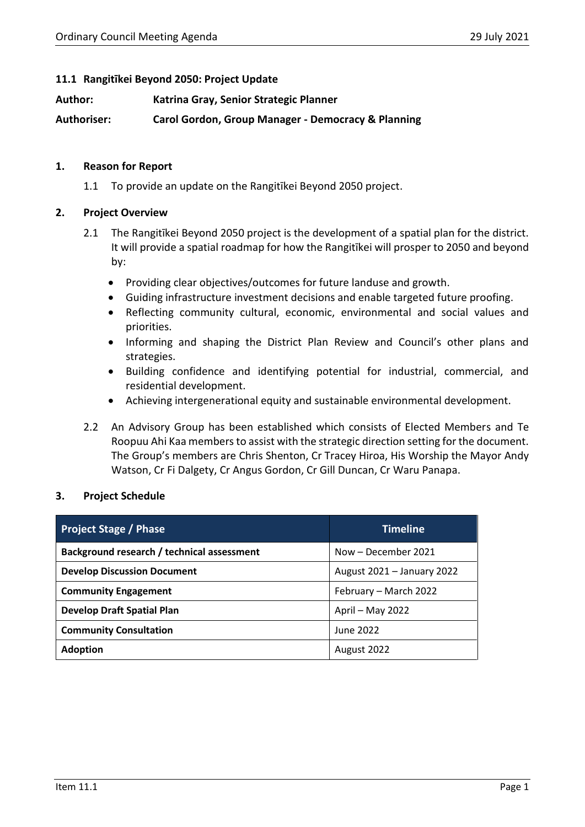# **11.1 Rangitīkei Beyond 2050: Project Update**

**Author: Katrina Gray, Senior Strategic Planner**

**Authoriser: Carol Gordon, Group Manager - Democracy & Planning**

# **1. Reason for Report**

1.1 To provide an update on the Rangitīkei Beyond 2050 project.

# **2. Project Overview**

- 2.1 The Rangitīkei Beyond 2050 project is the development of a spatial plan for the district. It will provide a spatial roadmap for how the Rangitīkei will prosper to 2050 and beyond by:
	- Providing clear objectives/outcomes for future landuse and growth.
	- Guiding infrastructure investment decisions and enable targeted future proofing.
	- Reflecting community cultural, economic, environmental and social values and priorities.
	- Informing and shaping the District Plan Review and Council's other plans and strategies.
	- Building confidence and identifying potential for industrial, commercial, and residential development.
	- Achieving intergenerational equity and sustainable environmental development.
- 2.2 An Advisory Group has been established which consists of Elected Members and Te Roopuu Ahi Kaa members to assist with the strategic direction setting for the document. The Group's members are Chris Shenton, Cr Tracey Hiroa, His Worship the Mayor Andy Watson, Cr Fi Dalgety, Cr Angus Gordon, Cr Gill Duncan, Cr Waru Panapa.

# **3. Project Schedule**

| <b>Project Stage / Phase</b>               | <b>Timeline</b>            |  |
|--------------------------------------------|----------------------------|--|
| Background research / technical assessment | Now - December 2021        |  |
| <b>Develop Discussion Document</b>         | August 2021 - January 2022 |  |
| <b>Community Engagement</b>                | February - March 2022      |  |
| <b>Develop Draft Spatial Plan</b>          | April - May 2022           |  |
| <b>Community Consultation</b>              | June 2022                  |  |
| <b>Adoption</b>                            | August 2022                |  |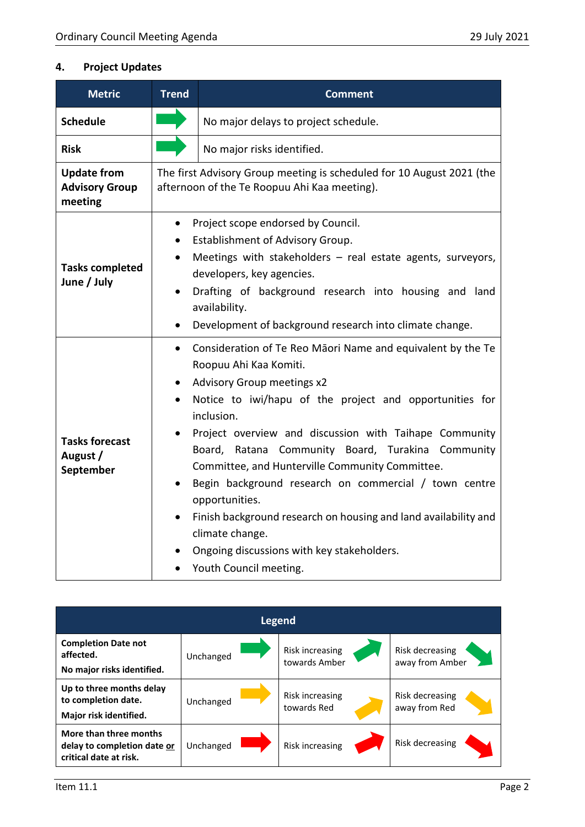# **4. Project Updates**

| <b>Metric</b>                                          | <b>Trend</b>                                                                                                          | <b>Comment</b>                                                                                                                                                                                                                                                                                                                                                                                                                                                                                                                                                                                                 |  |  |
|--------------------------------------------------------|-----------------------------------------------------------------------------------------------------------------------|----------------------------------------------------------------------------------------------------------------------------------------------------------------------------------------------------------------------------------------------------------------------------------------------------------------------------------------------------------------------------------------------------------------------------------------------------------------------------------------------------------------------------------------------------------------------------------------------------------------|--|--|
| <b>Schedule</b>                                        |                                                                                                                       | No major delays to project schedule.                                                                                                                                                                                                                                                                                                                                                                                                                                                                                                                                                                           |  |  |
| <b>Risk</b>                                            |                                                                                                                       | No major risks identified.                                                                                                                                                                                                                                                                                                                                                                                                                                                                                                                                                                                     |  |  |
| <b>Update from</b><br><b>Advisory Group</b><br>meeting | The first Advisory Group meeting is scheduled for 10 August 2021 (the<br>afternoon of the Te Roopuu Ahi Kaa meeting). |                                                                                                                                                                                                                                                                                                                                                                                                                                                                                                                                                                                                                |  |  |
| <b>Tasks completed</b><br>June / July                  | $\bullet$<br>$\bullet$<br>$\bullet$<br>$\bullet$                                                                      | Project scope endorsed by Council.<br>Establishment of Advisory Group.<br>Meetings with stakeholders $-$ real estate agents, surveyors,<br>developers, key agencies.<br>Drafting of background research into housing and land<br>availability.<br>Development of background research into climate change.                                                                                                                                                                                                                                                                                                      |  |  |
| <b>Tasks forecast</b><br>August /<br>September         | $\bullet$<br>$\bullet$                                                                                                | Consideration of Te Reo Māori Name and equivalent by the Te<br>Roopuu Ahi Kaa Komiti.<br><b>Advisory Group meetings x2</b><br>Notice to iwi/hapu of the project and opportunities for<br>inclusion.<br>Project overview and discussion with Taihape Community<br>Board, Ratana Community Board, Turakina Community<br>Committee, and Hunterville Community Committee.<br>Begin background research on commercial / town centre<br>opportunities.<br>Finish background research on housing and land availability and<br>climate change.<br>Ongoing discussions with key stakeholders.<br>Youth Council meeting. |  |  |

| <b>Legend</b>                                                                   |           |                                  |                                    |  |  |  |
|---------------------------------------------------------------------------------|-----------|----------------------------------|------------------------------------|--|--|--|
| <b>Completion Date not</b><br>affected.<br>No major risks identified.           | Unchanged | Risk increasing<br>towards Amber | Risk decreasing<br>away from Amber |  |  |  |
| Up to three months delay<br>to completion date.<br>Major risk identified.       | Unchanged | Risk increasing<br>towards Red   | Risk decreasing<br>away from Red   |  |  |  |
| More than three months<br>delay to completion date or<br>critical date at risk. | Unchanged | <b>Risk increasing</b>           | Risk decreasing                    |  |  |  |